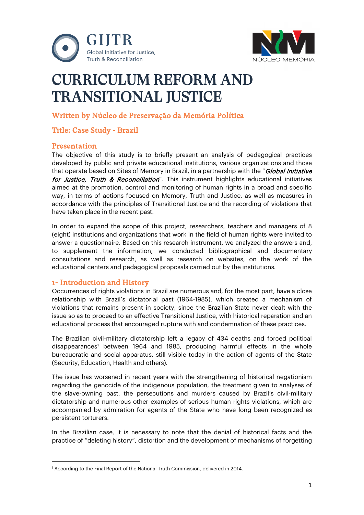



# CURRICULUM REFORM AND TRANSITIONAL JUSTICE

# Written by Núcleo de Preservação da Memória Política

# Title: Case Study - Brazil

# **Presentation**

The objective of this study is to briefly present an analysis of pedagogical practices developed by public and private educational institutions, various organizations and those that operate based on Sites of Memory in Brazil, in a partnership with the "*Global Initiative* for Justice, Truth & Reconciliation". This instrument highlights educational initiatives aimed at the promotion, control and monitoring of human rights in a broad and specific way, in terms of actions focused on Memory, Truth and Justice, as well as measures in accordance with the principles of Transitional Justice and the recording of violations that have taken place in the recent past.

In order to expand the scope of this project, researchers, teachers and managers of 8 (eight) institutions and organizations that work in the field of human rights were invited to answer a questionnaire. Based on this research instrument, we analyzed the answers and, to supplement the information, we conducted bibliographical and documentary consultations and research, as well as research on websites, on the work of the educational centers and pedagogical proposals carried out by the institutions.

# 1- Introduction and History

Occurrences of rights violations in Brazil are numerous and, for the most part, have a close relationship with Brazil's dictatorial past (1964-1985), which created a mechanism of violations that remains present in society, since the Brazilian State never dealt with the issue so as to proceed to an effective Transitional Justice, with historical reparation and an educational process that encouraged rupture with and condemnation of these practices.

The Brazilian civil-military dictatorship left a legacy of 434 deaths and forced political disappearances<sup>1</sup> between 1964 and 1985, producing harmful effects in the whole bureaucratic and social apparatus, still visible today in the action of agents of the State (Security, Education, Health and others).

The issue has worsened in recent years with the strengthening of historical negationism regarding the genocide of the indigenous population, the treatment given to analyses of the slave-owning past, the persecutions and murders caused by Brazil's civil-military dictatorship and numerous other examples of serious human rights violations, which are accompanied by admiration for agents of the State who have long been recognized as persistent torturers.

In the Brazilian case, it is necessary to note that the denial of historical facts and the practice of "deleting history", distortion and the development of mechanisms of forgetting

<span id="page-0-0"></span><sup>&</sup>lt;sup>1</sup> According to the Final Report of the National Truth Commission, delivered in 2014.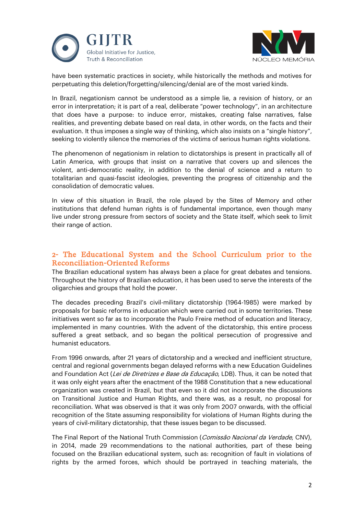



have been systematic practices in society, while historically the methods and motives for perpetuating this deletion/forgetting/silencing/denial are of the most varied kinds.

In Brazil, negationism cannot be understood as a simple lie, a revision of history, or an error in interpretation; it is part of a real, deliberate "power technology", in an architecture that does have a purpose: to induce error, mistakes, creating false narratives, false realities, and preventing debate based on real data, in other words, on the facts and their evaluation. It thus imposes a single way of thinking, which also insists on a "single history", seeking to violently silence the memories of the victims of serious human rights violations.

The phenomenon of negationism in relation to dictatorships is present in practically all of Latin America, with groups that insist on a narrative that covers up and silences the violent, anti-democratic reality, in addition to the denial of science and a return to totalitarian and quasi-fascist ideologies, preventing the progress of citizenship and the consolidation of democratic values.

In view of this situation in Brazil, the role played by the Sites of Memory and other institutions that defend human rights is of fundamental importance, even though many live under strong pressure from sectors of society and the State itself, which seek to limit their range of action.

# 2- The Educational System and the School Curriculum prior to the Reconciliation-Oriented Reforms

The Brazilian educational system has always been a place for great debates and tensions. Throughout the history of Brazilian education, it has been used to serve the interests of the oligarchies and groups that hold the power.

The decades preceding Brazil's civil-military dictatorship (1964-1985) were marked by proposals for basic reforms in education which were carried out in some territories. These initiatives went so far as to incorporate the Paulo Freire method of education and literacy, implemented in many countries. With the advent of the dictatorship, this entire process suffered a great setback, and so began the political persecution of progressive and humanist educators.

From 1996 onwards, after 21 years of dictatorship and a wrecked and inefficient structure, central and regional governments began delayed reforms with a new Education Guidelines and Foundation Act (Lei de Diretrizes e Base da Educação, LDB). Thus, it can be noted that it was only eight years after the enactment of the 1988 Constitution that a new educational organization was created in Brazil, but that even so it did not incorporate the discussions on Transitional Justice and Human Rights, and there was, as a result, no proposal for reconciliation. What was observed is that it was only from 2007 onwards, with the official recognition of the State assuming responsibility for violations of Human Rights during the years of civil-military dictatorship, that these issues began to be discussed.

The Final Report of the National Truth Commission (Comissão Nacional da Verdade, CNV), in 2014, made 29 recommendations to the national authorities, part of these being focused on the Brazilian educational system, such as: recognition of fault in violations of rights by the armed forces, which should be portrayed in teaching materials, the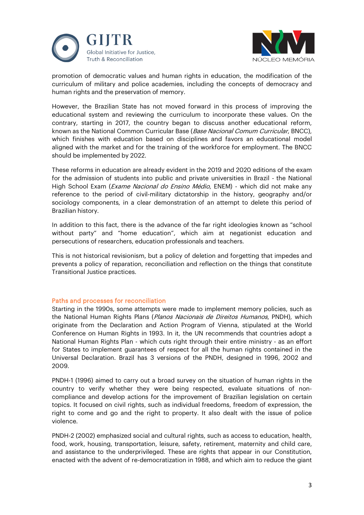



promotion of democratic values and human rights in education, the modification of the curriculum of military and police academies, including the concepts of democracy and human rights and the preservation of memory.

However, the Brazilian State has not moved forward in this process of improving the educational system and reviewing the curriculum to incorporate these values. On the contrary, starting in 2017, the country began to discuss another educational reform, known as the National Common Curricular Base (Base Nacional Comum Curricular, BNCC), which finishes with education based on disciplines and favors an educational model aligned with the market and for the training of the workforce for employment. The BNCC should be implemented by 2022.

These reforms in education are already evident in the 2019 and 2020 editions of the exam for the admission of students into public and private universities in Brazil - the National High School Exam (*Exame Nacional do Ensino Médio*, ENEM) - which did not make any reference to the period of civil-military dictatorship in the history, geography and/or sociology components, in a clear demonstration of an attempt to delete this period of Brazilian history.

In addition to this fact, there is the advance of the far right ideologies known as "school without party" and "home education", which aim at negationist education and persecutions of researchers, education professionals and teachers.

This is not historical revisionism, but a policy of deletion and forgetting that impedes and prevents a policy of reparation, reconciliation and reflection on the things that constitute Transitional Justice practices.

## Paths and processes for reconciliation

Starting in the 1990s, some attempts were made to implement memory policies, such as the National Human Rights Plans (Planos Nacionais de Direitos Humanos, PNDH), which originate from the Declaration and Action Program of Vienna, stipulated at the World Conference on Human Rights in 1993. In it, the UN recommends that countries adopt a National Human Rights Plan - which cuts right through their entire ministry - as an effort for States to implement guarantees of respect for all the human rights contained in the Universal Declaration. Brazil has 3 versions of the PNDH, designed in 1996, 2002 and 2009.

PNDH-1 (1996) aimed to carry out a broad survey on the situation of human rights in the country to verify whether they were being respected, evaluate situations of noncompliance and develop actions for the improvement of Brazilian legislation on certain topics. It focused on civil rights, such as individual freedoms, freedom of expression, the right to come and go and the right to property. It also dealt with the issue of police violence.

PNDH-2 (2002) emphasized social and cultural rights, such as access to education, health, food, work, housing, transportation, leisure, safety, retirement, maternity and child care, and assistance to the underprivileged. These are rights that appear in our Constitution, enacted with the advent of re-democratization in 1988, and which aim to reduce the giant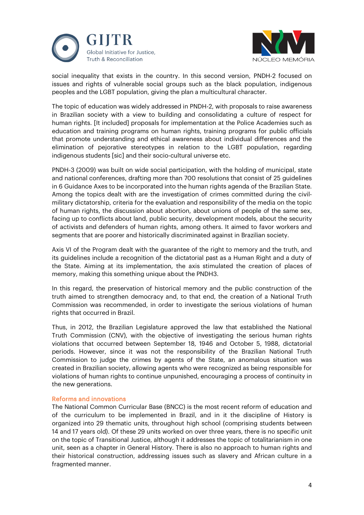



social inequality that exists in the country. In this second version, PNDH-2 focused on issues and rights of vulnerable social groups such as the black population, indigenous peoples and the LGBT population, giving the plan a multicultural character.

The topic of education was widely addressed in PNDH-2, with proposals to raise awareness in Brazilian society with a view to building and consolidating a culture of respect for human rights. [It included] proposals for implementation at the Police Academies such as education and training programs on human rights, training programs for public officials that promote understanding and ethical awareness about individual differences and the elimination of pejorative stereotypes in relation to the LGBT population, regarding indigenous students [sic] and their socio-cultural universe etc.

PNDH-3 (2009) was built on wide social participation, with the holding of municipal, state and national conferences, drafting more than 700 resolutions that consist of 25 guidelines in 6 Guidance Axes to be incorporated into the human rights agenda of the Brazilian State. Among the topics dealt with are the investigation of crimes committed during the civilmilitary dictatorship, criteria for the evaluation and responsibility of the media on the topic of human rights, the discussion about abortion, about unions of people of the same sex, facing up to conflicts about land, public security, development models, about the security of activists and defenders of human rights, among others. It aimed to favor workers and segments that are poorer and historically discriminated against in Brazilian society.

Axis VI of the Program dealt with the guarantee of the right to memory and the truth, and its guidelines include a recognition of the dictatorial past as a Human Right and a duty of the State. Aiming at its implementation, the axis stimulated the creation of places of memory, making this something unique about the PNDH3.

In this regard, the preservation of historical memory and the public construction of the truth aimed to strengthen democracy and, to that end, the creation of a National Truth Commission was recommended, in order to investigate the serious violations of human rights that occurred in Brazil.

Thus, in 2012, the Brazilian Legislature approved the law that established the National Truth Commission (CNV), with the objective of investigating the serious human rights violations that occurred between September 18, 1946 and October 5, 1988, dictatorial periods. However, since it was not the responsibility of the Brazilian National Truth Commission to judge the crimes by agents of the State, an anomalous situation was created in Brazilian society, allowing agents who were recognized as being responsible for violations of human rights to continue unpunished, encouraging a process of continuity in the new generations.

## Reforms and innovations

The National Common Curricular Base (BNCC) is the most recent reform of education and of the curriculum to be implemented in Brazil, and in it the discipline of History is organized into 29 thematic units, throughout high school (comprising students between 14 and 17 years old). Of these 29 units worked on over three years, there is no specific unit on the topic of Transitional Justice, although it addresses the topic of totalitarianism in one unit, seen as a chapter in General History. There is also no approach to human rights and their historical construction, addressing issues such as slavery and African culture in a fragmented manner.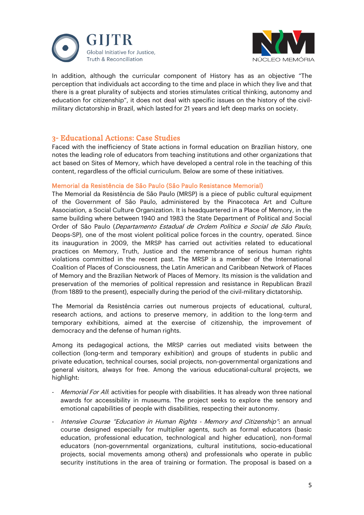



In addition, although the curricular component of History has as an objective "The perception that individuals act according to the time and place in which they live and that there is a great plurality of subjects and stories stimulates critical thinking, autonomy and education for citizenship", it does not deal with specific issues on the history of the civilmilitary dictatorship in Brazil, which lasted for 21 years and left deep marks on society.

# 3- Educational Actions: Case Studies

Faced with the inefficiency of State actions in formal education on Brazilian history, one notes the leading role of educators from teaching institutions and other organizations that act based on Sites of Memory, which have developed a central role in the teaching of this content, regardless of the official curriculum. Below are some of these initiatives.

## Memorial da Resistência de São Paulo (São Paulo Resistance Memorial)

The Memorial da Resistência de São Paulo (MRSP) is a piece of public cultural equipment of the Government of São Paulo, administered by the Pinacoteca Art and Culture Association, a Social Culture Organization. It is headquartered in a Place of Memory, in the same building where between 1940 and 1983 the State Department of Political and Social Order of São Paulo (Departamento Estadual de Ordem Política e Social de São Paulo, Deops-SP), one of the most violent political police forces in the country, operated. Since its inauguration in 2009, the MRSP has carried out activities related to educational practices on Memory, Truth, Justice and the remembrance of serious human rights violations committed in the recent past. The MRSP is a member of the International Coalition of Places of Consciousness, the Latin American and Caribbean Network of Places of Memory and the Brazilian Network of Places of Memory. Its mission is the validation and preservation of the memories of political repression and resistance in Republican Brazil (from 1889 to the present), especially during the period of the civil-military dictatorship.

The Memorial da Resistência carries out numerous projects of educational, cultural, research actions, and actions to preserve memory, in addition to the long-term and temporary exhibitions, aimed at the exercise of citizenship, the improvement of democracy and the defense of human rights.

Among its pedagogical actions, the MRSP carries out mediated visits between the collection (long-term and temporary exhibition) and groups of students in public and private education, technical courses, social projects, non-governmental organizations and general visitors, always for free. Among the various educational-cultural projects, we highlight:

- Memorial For All: activities for people with disabilities. It has already won three national awards for accessibility in museums. The project seeks to explore the sensory and emotional capabilities of people with disabilities, respecting their autonomy.
- Intensive Course "Education in Human Rights Memory and Citizenship": an annual course designed especially for multiplier agents, such as formal educators (basic education, professional education, technological and higher education), non-formal educators (non-governmental organizations, cultural institutions, socio-educational projects, social movements among others) and professionals who operate in public security institutions in the area of training or formation. The proposal is based on a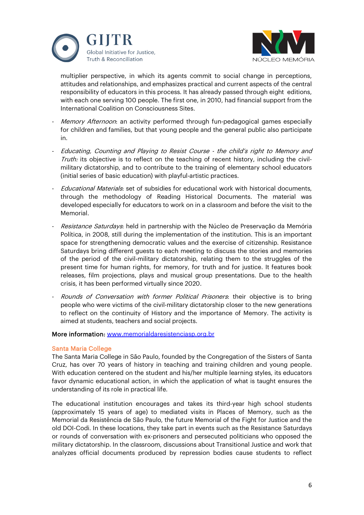



multiplier perspective, in which its agents commit to social change in perceptions, attitudes and relationships, and emphasizes practical and current aspects of the central responsibility of educators in this process. It has already passed through eight editions, with each one serving 100 people. The first one, in 2010, had financial support from the International Coalition on Consciousness Sites.

- Memory Afternoon: an activity performed through fun-pedagogical games especially for children and families, but that young people and the general public also participate in.
- Educating, Counting and Playing to Resist Course the child's right to Memory and Truth: its objective is to reflect on the teaching of recent history, including the civilmilitary dictatorship, and to contribute to the training of elementary school educators (initial series of basic education) with playful-artistic practices.
- Educational Materials: set of subsidies for educational work with historical documents, through the methodology of Reading Historical Documents. The material was developed especially for educators to work on in a classroom and before the visit to the Memorial.
- Resistance Saturdays: held in partnership with the Núcleo de Preservação da Memória Política, in 2008, still during the implementation of the institution. This is an important space for strengthening democratic values and the exercise of citizenship. Resistance Saturdays bring different guests to each meeting to discuss the stories and memories of the period of the civil-military dictatorship, relating them to the struggles of the present time for human rights, for memory, for truth and for justice. It features book releases, film projections, plays and musical group presentations. Due to the health crisis, it has been performed virtually since 2020.
- Rounds of Conversation with former Political Prisoners: their objective is to bring people who were victims of the civil-military dictatorship closer to the new generations to reflect on the continuity of History and the importance of Memory. The activity is aimed at students, teachers and social projects.

## More information: [www.memorialdaresistenciasp.org.br](http://www.memorialdaresistenciasp.org.br/)

## Santa Maria College

The Santa Maria College in São Paulo, founded by the Congregation of the Sisters of Santa Cruz, has over 70 years of history in teaching and training children and young people. With education centered on the student and his/her multiple learning styles, its educators favor dynamic educational action, in which the application of what is taught ensures the understanding of its role in practical life.

The educational institution encourages and takes its third-year high school students (approximately 15 years of age) to mediated visits in Places of Memory, such as the Memorial da Resistência de São Paulo, the future Memorial of the Fight for Justice and the old DOI-Codi. In these locations, they take part in events such as the Resistance Saturdays or rounds of conversation with ex-prisoners and persecuted politicians who opposed the military dictatorship. In the classroom, discussions about Transitional Justice and work that analyzes official documents produced by repression bodies cause students to reflect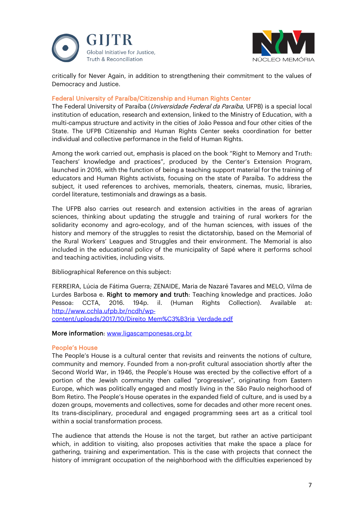



critically for Never Again, in addition to strengthening their commitment to the values of Democracy and Justice.

## Federal University of Paraíba/Citizenship and Human Rights Center

The Federal University of Paraíba (*Universidade Federal da Paraíba*, UFPB) is a special local institution of education, research and extension, linked to the Ministry of Education, with a multi-campus structure and activity in the cities of João Pessoa and four other cities of the State. The UFPB Citizenship and Human Rights Center seeks coordination for better individual and collective performance in the field of Human Rights.

Among the work carried out, emphasis is placed on the book "Right to Memory and Truth: Teachers' knowledge and practices", produced by the Center's Extension Program, launched in 2016, with the function of being a teaching support material for the training of educators and Human Rights activists, focusing on the state of Paraíba. To address the subject, it used references to archives, memorials, theaters, cinemas, music, libraries, cordel literature, testimonials and drawings as a basis.

The UFPB also carries out research and extension activities in the areas of agrarian sciences, thinking about updating the struggle and training of rural workers for the solidarity economy and agro-ecology, and of the human sciences, with issues of the history and memory of the struggles to resist the dictatorship, based on the Memorial of the Rural Workers' Leagues and Struggles and their environment. The Memorial is also included in the educational policy of the municipality of Sapé where it performs school and teaching activities, including visits.

Bibliographical Reference on this subject:

FERREIRA, Lúcia de Fátima Guerra; ZENAIDE, Maria de Nazaré Tavares and MELO, Vilma de Lurdes Barbosa e. Right to memory and truth: Teaching knowledge and practices. João Pessoa: CCTA, 2016. 194p. il. (Human Rights Collection). Available at: [http://www.cchla.ufpb.br/ncdh/wp-](about:blank)

[content/uploads/2017/10/Direito\\_Mem%C3%B3ria\\_Verdade.pdf](about:blank)

## More information: [www.ligascamponesas.org.br](http://www.ligascamponesas.org.br/)

## People's House

The People's House is a cultural center that revisits and reinvents the notions of culture, community and memory. Founded from a non-profit cultural association shortly after the Second World War, in 1946, the People's House was erected by the collective effort of a portion of the Jewish community then called "progressive", originating from Eastern Europe, which was politically engaged and mostly living in the São Paulo neighorhood of Bom Retiro. The People's House operates in the expanded field of culture, and is used by a dozen groups, movements and collectives, some for decades and other more recent ones. Its trans-disciplinary, procedural and engaged programming sees art as a critical tool within a social transformation process.

The audience that attends the House is not the target, but rather an active participant which, in addition to visiting, also proposes activities that make the space a place for gathering, training and experimentation. This is the case with projects that connect the history of immigrant occupation of the neighborhood with the difficulties experienced by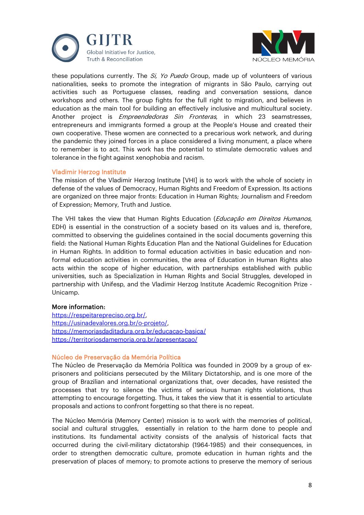



these populations currently. The Si, Yo Puedo Group, made up of volunteers of various nationalities, seeks to promote the integration of migrants in São Paulo, carrying out activities such as Portuguese classes, reading and conversation sessions, dance workshops and others. The group fights for the full right to migration, and believes in education as the main tool for building an effectively inclusive and multicultural society. Another project is *Empreendedoras Sin Fronteras*, in which 23 seamstresses, entrepreneurs and immigrants formed a group at the People's House and created their own cooperative. These women are connected to a precarious work network, and during the pandemic they joined forces in a place considered a living monument, a place where to remember is to act. This work has the potential to stimulate democratic values and tolerance in the fight against xenophobia and racism.

## Vladimir Herzog Institute

The mission of the Vladimir Herzog Institute [VHI] is to work with the whole of society in defense of the values of Democracy, Human Rights and Freedom of Expression. Its actions are organized on three major fronts: Education in Human Rights; Journalism and Freedom of Expression; Memory, Truth and Justice.

The VHI takes the view that Human Rights Education (Educação em Direitos Humanos, EDH) is essential in the construction of a society based on its values and is, therefore, committed to observing the guidelines contained in the social documents governing this field: the National Human Rights Education Plan and the National Guidelines for Education in Human Rights. In addition to formal education activities in basic education and nonformal education activities in communities, the area of Education in Human Rights also acts within the scope of higher education, with partnerships established with public universities, such as Specialization in Human Rights and Social Struggles, developed in partnership with Unifesp, and the Vladimir Herzog Institute Academic Recognition Prize - Unicamp.

## More information:

[https://respeitarepreciso.org.br/,](about:blank) [https://usinadevalores.org.br/o-projeto/,](about:blank) [https://memoriasdaditadura.org.br/educacao-basica/](about:blank) [https://territoriosdamemoria.org.br/apresentacao/](about:blank)

#### Núcleo de Preservação da Memória Política

The Núcleo de Preservação da Memória Política was founded in 2009 by a group of exprisoners and politicians persecuted by the Military Dictatorship, and is one more of the group of Brazilian and international organizations that, over decades, have resisted the processes that try to silence the victims of serious human rights violations, thus attempting to encourage forgetting. Thus, it takes the view that it is essential to articulate proposals and actions to confront forgetting so that there is no repeat.

The Núcleo Memória (Memory Center) mission is to work with the memories of political, social and cultural struggles, essentially in relation to the harm done to people and institutions. Its fundamental activity consists of the analysis of historical facts that occurred during the civil-military dictatorship (1964-1985) and their consequences, in order to strengthen democratic culture, promote education in human rights and the preservation of places of memory; to promote actions to preserve the memory of serious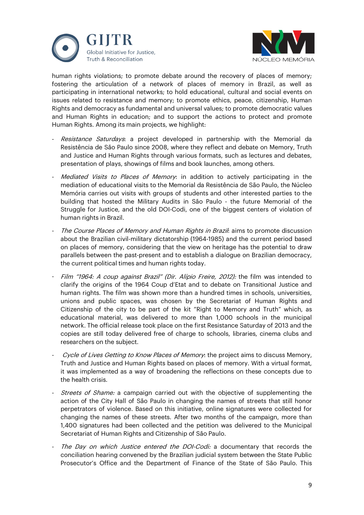



human rights violations; to promote debate around the recovery of places of memory; fostering the articulation of a network of places of memory in Brazil, as well as participating in international networks; to hold educational, cultural and social events on issues related to resistance and memory; to promote ethics, peace, citizenship, Human Rights and democracy as fundamental and universal values; to promote democratic values and Human Rights in education; and to support the actions to protect and promote Human Rights. Among its main projects, we highlight:

- Resistance Saturdays: a project developed in partnership with the Memorial da Resistência de São Paulo since 2008, where they reflect and debate on Memory, Truth and Justice and Human Rights through various formats, such as lectures and debates, presentation of plays, showings of films and book launches, among others.
- Mediated Visits to Places of Memory: in addition to actively participating in the mediation of educational visits to the Memorial da Resistência de São Paulo, the Núcleo Memória carries out visits with groups of students and other interested parties to the building that hosted the Military Audits in São Paulo - the future Memorial of the Struggle for Justice, and the old DOI-Codi, one of the biggest centers of violation of human rights in Brazil.
- The Course Places of Memory and Human Rights in Brazil: aims to promote discussion about the Brazilian civil-military dictatorship (1964-1985) and the current period based on places of memory, considering that the view on heritage has the potential to draw parallels between the past-present and to establish a dialogue on Brazilian democracy, the current political times and human rights today.
- Film "1964: A coup against Brazil" (Dir. Alípio Freire, 2012): the film was intended to clarify the origins of the 1964 Coup d'Etat and to debate on Transitional Justice and human rights. The film was shown more than a hundred times in schools, universities, unions and public spaces, was chosen by the Secretariat of Human Rights and Citizenship of the city to be part of the kit "Right to Memory and Truth" which, as educational material, was delivered to more than 1,000 schools in the municipal network. The official release took place on the first Resistance Saturday of 2013 and the copies are still today delivered free of charge to schools, libraries, cinema clubs and researchers on the subject.
- Cycle of Lives Getting to Know Places of Memory: the project aims to discuss Memory, Truth and Justice and Human Rights based on places of memory. With a virtual format, it was implemented as a way of broadening the reflections on these concepts due to the health crisis.
- Streets of Shame: a campaign carried out with the objective of supplementing the action of the City Hall of São Paulo in changing the names of streets that still honor perpetrators of violence. Based on this initiative, online signatures were collected for changing the names of these streets. After two months of the campaign, more than 1,400 signatures had been collected and the petition was delivered to the Municipal Secretariat of Human Rights and Citizenship of São Paulo.
- The Day on which Justice entered the DOI-Codi: a documentary that records the conciliation hearing convened by the Brazilian judicial system between the State Public Prosecutor's Office and the Department of Finance of the State of São Paulo. This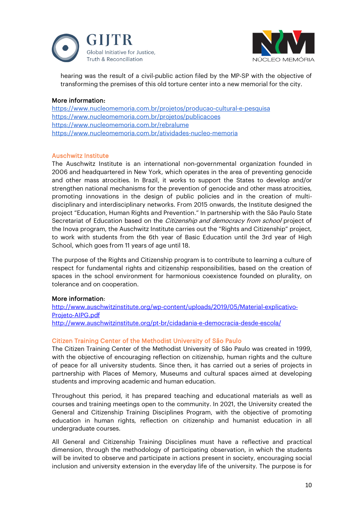



hearing was the result of a civil-public action filed by the MP-SP with the objective of transforming the premises of this old torture center into a new memorial for the city.

# More information:

[https://www.nucleomemoria.com.br/projetos/producao-cultural-e-pesquisa](about:blank) [https://www.nucleomemoria.com.br/projetos/publicacoes](about:blank) [https://www.nucleomemoria.com.br/rebralume](about:blank) https://www.nucleomemoria.com.br/atividades-nucleo-memoria

## Auschwitz Institute

The Auschwitz Institute is an international non-governmental organization founded in 2006 and headquartered in New York, which operates in the area of preventing genocide and other mass atrocities. In Brazil, it works to support the States to develop and/or strengthen national mechanisms for the prevention of genocide and other mass atrocities, promoting innovations in the design of public policies and in the creation of multidisciplinary and interdisciplinary networks. From 2015 onwards, the Institute designed the project "Education, Human Rights and Prevention." In partnership with the São Paulo State Secretariat of Education based on the *Citizenship and democracy from school* project of the Inova program, the Auschwitz Institute carries out the "Rights and Citizenship" project, to work with students from the 6th year of Basic Education until the 3rd year of High School, which goes from 11 years of age until 18.

The purpose of the Rights and Citizenship program is to contribute to learning a culture of respect for fundamental rights and citizenship responsibilities, based on the creation of spaces in the school environment for harmonious coexistence founded on plurality, on tolerance and on cooperation.

## More information:

[http://www.auschwitzinstitute.org/wp-content/uploads/2019/05/Material-explicativo-](http://www.auschwitzinstitute.org/wp-content/uploads/2019/05/Material-explicativo-Projeto-AIPG.pdf)[Projeto-AIPG.pdf](http://www.auschwitzinstitute.org/wp-content/uploads/2019/05/Material-explicativo-Projeto-AIPG.pdf) <http://www.auschwitzinstitute.org/pt-br/cidadania-e-democracia-desde-escola/>

# Citizen Training Center of the Methodist University of São Paulo

The Citizen Training Center of the Methodist University of São Paulo was created in 1999, with the objective of encouraging reflection on citizenship, human rights and the culture of peace for all university students. Since then, it has carried out a series of projects in partnership with Places of Memory, Museums and cultural spaces aimed at developing students and improving academic and human education.

Throughout this period, it has prepared teaching and educational materials as well as courses and training meetings open to the community. In 2021, the University created the General and Citizenship Training Disciplines Program, with the objective of promoting education in human rights, reflection on citizenship and humanist education in all undergraduate courses.

All General and Citizenship Training Disciplines must have a reflective and practical dimension, through the methodology of participating observation, in which the students will be invited to observe and participate in actions present in society, encouraging social inclusion and university extension in the everyday life of the university. The purpose is for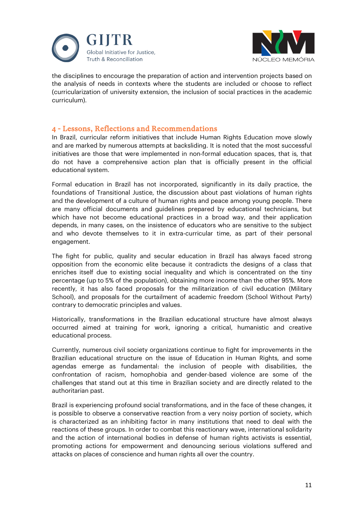



the disciplines to encourage the preparation of action and intervention projects based on the analysis of needs in contexts where the students are included or choose to reflect (curricularization of university extension, the inclusion of social practices in the academic curriculum).

# 4 - Lessons, Reflections and Recommendations

In Brazil, curricular reform initiatives that include Human Rights Education move slowly and are marked by numerous attempts at backsliding. It is noted that the most successful initiatives are those that were implemented in non-formal education spaces, that is, that do not have a comprehensive action plan that is officially present in the official educational system.

Formal education in Brazil has not incorporated, significantly in its daily practice, the foundations of Transitional Justice, the discussion about past violations of human rights and the development of a culture of human rights and peace among young people. There are many official documents and guidelines prepared by educational technicians, but which have not become educational practices in a broad way, and their application depends, in many cases, on the insistence of educators who are sensitive to the subject and who devote themselves to it in extra-curricular time, as part of their personal engagement.

The fight for public, quality and secular education in Brazil has always faced strong opposition from the economic elite because it contradicts the designs of a class that enriches itself due to existing social inequality and which is concentrated on the tiny percentage (up to 5% of the population), obtaining more income than the other 95%. More recently, it has also faced proposals for the militarization of civil education (Military School), and proposals for the curtailment of academic freedom (School Without Party) contrary to democratic principles and values.

Historically, transformations in the Brazilian educational structure have almost always occurred aimed at training for work, ignoring a critical, humanistic and creative educational process.

Currently, numerous civil society organizations continue to fight for improvements in the Brazilian educational structure on the issue of Education in Human Rights, and some agendas emerge as fundamental: the inclusion of people with disabilities, the confrontation of racism, homophobia and gender-based violence are some of the challenges that stand out at this time in Brazilian society and are directly related to the authoritarian past.

Brazil is experiencing profound social transformations, and in the face of these changes, it is possible to observe a conservative reaction from a very noisy portion of society, which is characterized as an inhibiting factor in many institutions that need to deal with the reactions of these groups. In order to combat this reactionary wave, international solidarity and the action of international bodies in defense of human rights activists is essential, promoting actions for empowerment and denouncing serious violations suffered and attacks on places of conscience and human rights all over the country.